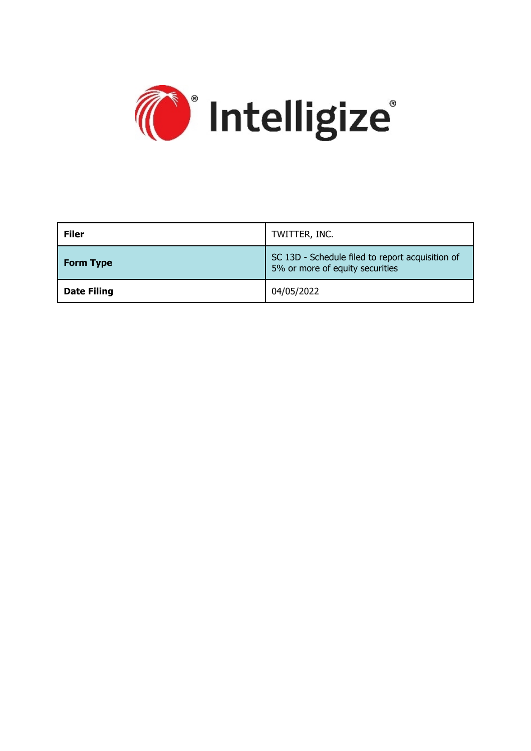

| <b>Filer</b>       | TWITTER, INC.                                                                       |
|--------------------|-------------------------------------------------------------------------------------|
| <b>Form Type</b>   | SC 13D - Schedule filed to report acquisition of<br>5% or more of equity securities |
| <b>Date Filing</b> | 04/05/2022                                                                          |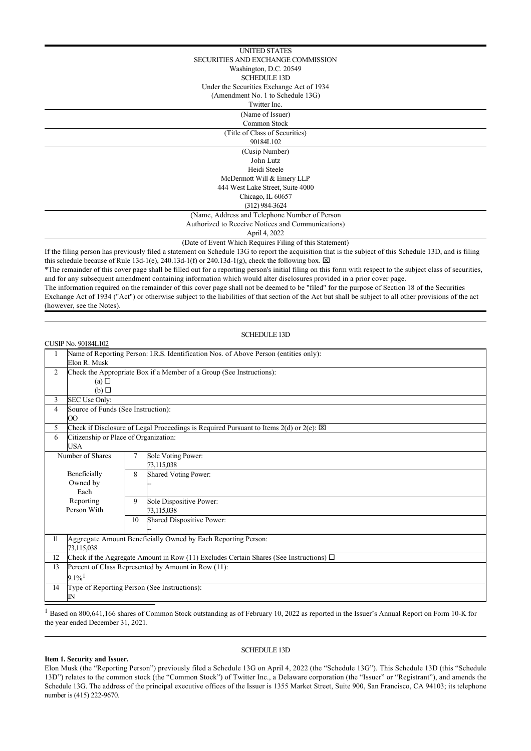| <b>UNITED STATES</b>                                                                                                                                    |  |  |
|---------------------------------------------------------------------------------------------------------------------------------------------------------|--|--|
| SECURITIES AND EXCHANGE COMMISSION                                                                                                                      |  |  |
| Washington, D.C. 20549                                                                                                                                  |  |  |
| <b>SCHEDULE 13D</b>                                                                                                                                     |  |  |
| Under the Securities Exchange Act of 1934                                                                                                               |  |  |
| (Amendment No. 1 to Schedule 13G)                                                                                                                       |  |  |
| Twitter Inc.                                                                                                                                            |  |  |
| (Name of Issuer)                                                                                                                                        |  |  |
| Common Stock                                                                                                                                            |  |  |
| (Title of Class of Securities)                                                                                                                          |  |  |
| 90184L102                                                                                                                                               |  |  |
| (Cusip Number)                                                                                                                                          |  |  |
| John Lutz                                                                                                                                               |  |  |
| Heidi Steele                                                                                                                                            |  |  |
| McDermott Will & Emery LLP                                                                                                                              |  |  |
| 444 West Lake Street, Suite 4000                                                                                                                        |  |  |
| Chicago, IL 60657                                                                                                                                       |  |  |
| $(312)$ 984-3624                                                                                                                                        |  |  |
| (Name, Address and Telephone Number of Person)                                                                                                          |  |  |
| Authorized to Receive Notices and Communications)                                                                                                       |  |  |
| April 4, 2022                                                                                                                                           |  |  |
| (Date of Event Which Requires Filing of this Statement)                                                                                                 |  |  |
| If the filing person has previously filed a statement on Schedule 13G to report the acquisition that is the subject of this Schedule 13D, and is filing |  |  |
| this schedule because of Rule 13d-1(e), 240.13d-1(f) or 240.13d-1(g), check the following box. $\boxtimes$                                              |  |  |

\*The remainder of this cover page shall be filled out for a reporting person's initial filing on this form with respect to the subject class of securities, and for any subsequent amendment containing information which would alter disclosures provided in a prior cover page.

The information required on the remainder of this cover page shall not be deemed to be "filed" for the purpose of Section 18 of the Securities Exchange Act of 1934 ("Act") or otherwise subject to the liabilities of that section of the Act but shall be subject to all other provisions of the act (however, see the Notes).

### SCHEDULE 13D

|                  | CUSIP No. 90184L102                                                                                   |    |                                       |  |  |
|------------------|-------------------------------------------------------------------------------------------------------|----|---------------------------------------|--|--|
|                  | Name of Reporting Person: I.R.S. Identification Nos. of Above Person (entities only):                 |    |                                       |  |  |
|                  | Elon R. Musk                                                                                          |    |                                       |  |  |
| 2                | Check the Appropriate Box if a Member of a Group (See Instructions):                                  |    |                                       |  |  |
|                  | (a)                                                                                                   |    |                                       |  |  |
|                  | $(b)$ $\square$                                                                                       |    |                                       |  |  |
| 3                | SEC Use Only:                                                                                         |    |                                       |  |  |
| 4                | Source of Funds (See Instruction):                                                                    |    |                                       |  |  |
|                  | $\overline{O}O$                                                                                       |    |                                       |  |  |
| 5                | Check if Disclosure of Legal Proceedings is Required Pursuant to Items $2(d)$ or $2(e)$ : $\boxtimes$ |    |                                       |  |  |
| 6                | Citizenship or Place of Organization:                                                                 |    |                                       |  |  |
|                  | <b>USA</b>                                                                                            |    |                                       |  |  |
| Number of Shares |                                                                                                       | 7  | Sole Voting Power:                    |  |  |
|                  |                                                                                                       |    | 73,115,038                            |  |  |
|                  | Beneficially                                                                                          | 8  | <b>Shared Voting Power:</b>           |  |  |
|                  | Owned by<br>Each                                                                                      |    |                                       |  |  |
|                  | Reporting                                                                                             | 9  |                                       |  |  |
|                  | Person With                                                                                           |    | Sole Dispositive Power:<br>73,115,038 |  |  |
|                  |                                                                                                       | 10 | <b>Shared Dispositive Power:</b>      |  |  |
|                  |                                                                                                       |    |                                       |  |  |
| 11               |                                                                                                       |    |                                       |  |  |
|                  | Aggregate Amount Beneficially Owned by Each Reporting Person:<br>73,115,038                           |    |                                       |  |  |
| 12               | Check if the Aggregate Amount in Row (11) Excludes Certain Shares (See Instructions) $\Box$           |    |                                       |  |  |
| 13               | Percent of Class Represented by Amount in Row (11):                                                   |    |                                       |  |  |
|                  | $9.1\%$ <sup>1</sup>                                                                                  |    |                                       |  |  |
| 14               | Type of Reporting Person (See Instructions):                                                          |    |                                       |  |  |
|                  | $\mathbb{N}$                                                                                          |    |                                       |  |  |

 $<sup>1</sup>$  Based on 800,641,166 shares of Common Stock outstanding as of February 10, 2022 as reported in the Issuer's Annual Report on Form 10-K for</sup> the year ended December 31, 2021.

## SCHEDULE 13D

## **Item 1. Security and Issuer.**

Elon Musk (the "Reporting Person") previously filed a Schedule 13G on April 4, 2022 (the "Schedule 13G"). This Schedule 13D (this "Schedule 13D") relates to the common stock (the "Common Stock") of Twitter Inc., a Delaware corporation (the "Issuer" or "Registrant"), and amends the Schedule 13G. The address of the principal executive offices of the Issuer is 1355 Market Street, Suite 900, San Francisco, CA 94103; its telephone number is (415) 222-9670.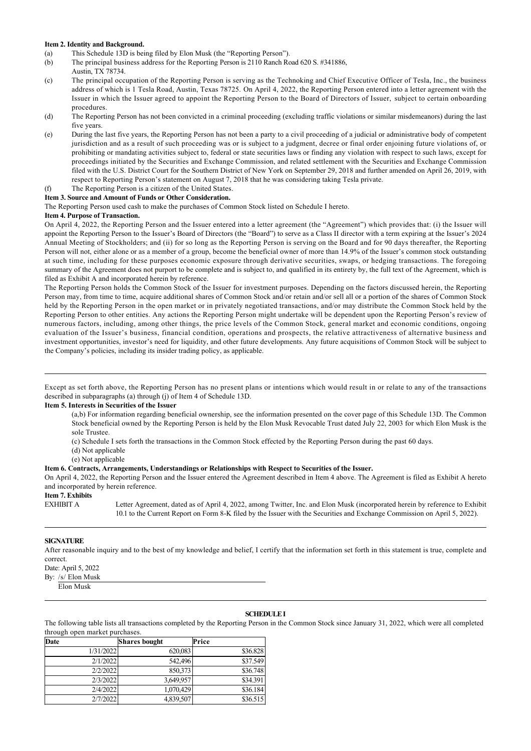#### **Item 2. Identity and Background.**

- (a) This Schedule 13D is being filed by Elon Musk (the "Reporting Person").
- (b) The principal business address for the Reporting Person is 2110 Ranch Road 620 S. #341886,
- Austin, TX 78734.
- (c) The principal occupation of the Reporting Person is serving as the Technoking and Chief Executive Officer of Tesla, Inc., the business address of which is 1 Tesla Road, Austin, Texas 78725. On April 4, 2022, the Reporting Person entered into a letter agreement with the Issuer in which the Issuer agreed to appoint the Reporting Person to the Board of Directors of Issuer, subject to certain onboarding procedures.
- (d) The Reporting Person has not been convicted in a criminal proceeding (excluding traffic violations or similar misdemeanors) during the last five years.
- (e) During the last five years, the Reporting Person has not been a party to a civil proceeding of a judicial or administrative body of competent jurisdiction and as a result of such proceeding was or is subject to a judgment, decree or final order enjoining future violations of, or prohibiting or mandating activities subject to, federal or state securities laws or finding any violation with respect to such laws, except for proceedings initiated by the Securities and Exchange Commission, and related settlement with the Securities and Exchange Commission filed with the U.S. District Court for the Southern District of New York on September 29, 2018 and further amended on April 26, 2019, with respect to Reporting Person's statement on August 7, 2018 that he was considering taking Tesla private.

# (f) The Reporting Person is a citizen of the United States.

#### **Item 3. Source and Amount of Funds or Other Consideration.**

The Reporting Person used cash to make the purchases of Common Stock listed on Schedule I hereto.

#### **Item 4. Purpose of Transaction.**

On April 4, 2022, the Reporting Person and the Issuer entered into a letter agreement (the "Agreement") which provides that: (i) the Issuer will appoint the Reporting Person to the Issuer's Board of Directors (the "Board") to serve as a Class II director with a term expiring at the Issuer's 2024 Annual Meeting of Stockholders; and (ii) for so long as the Reporting Person is serving on the Board and for 90 days thereafter, the Reporting Person will not, either alone or as a member of a group, become the beneficial owner of more than 14.9% of the Issuer's common stock outstanding at such time, including for these purposes economic exposure through derivative securities, swaps, or hedging transactions. The foregoing summary of the Agreement does not purport to be complete and is subject to, and qualified in its entirety by, the full text of the Agreement, which is filed as Exhibit A and incorporated herein by reference.

The Reporting Person holds the Common Stock of the Issuer for investment purposes. Depending on the factors discussed herein, the Reporting Person may, from time to time, acquire additional shares of Common Stock and/or retain and/or sell all or a portion of the shares of Common Stock held by the Reporting Person in the open market or in privately negotiated transactions, and/or may distribute the Common Stock held by the Reporting Person to other entities. Any actions the Reporting Person might undertake will be dependent upon the Reporting Person's review of numerous factors, including, among other things, the price levels of the Common Stock, general market and economic conditions, ongoing evaluation of the Issuer's business, financial condition, operations and prospects, the relative attractiveness of alternative business and investment opportunities, investor's need for liquidity, and other future developments. Any future acquisitions of Common Stock will be subject to the Company's policies, including its insider trading policy, as applicable.

Except as set forth above, the Reporting Person has no present plans or intentions which would result in or relate to any of the transactions described in subparagraphs (a) through (j) of Item 4 of Schedule 13D.

#### **Item 5. Interests in Securities of the Issuer**

(a,b) For information regarding beneficial ownership, see the information presented on the cover page of this Schedule 13D. The Common Stock beneficial owned by the Reporting Person is held by the Elon Musk Revocable Trust dated July 22, 2003 for which Elon Musk is the sole Trustee.

(c) Schedule I sets forth the transactions in the Common Stock effected by the Reporting Person during the past 60 days.

- (d) Not applicable
- (e) Not applicable

#### **Item 6. Contracts, Arrangements, Understandings or Relationships with Respect to Securities of the Issuer.**

On April 4, 2022, the Reporting Person and the Issuer entered the Agreement described in Item 4 above. The Agreement is filed as Exhibit A hereto and incorporated by herein reference.

# **Item 7. Exhibits**

Letter Agreement, dated as of April 4, 2022, among Twitter, Inc. and Elon Musk (incorporated herein by reference to Exhibit 10.1 to the Current Report on Form 8-K filed by the Issuer with the Securities and Exchange Commission on April 5, 2022).

#### **SIGNATURE**

After reasonable inquiry and to the best of my knowledge and belief, I certify that the information set forth in this statement is true, complete and correct.

Date: April 5, 2022

By: /s/ Elon Musk

# Elon Musk

#### **SCHEDULE I**

The following table lists all transactions completed by the Reporting Person in the Common Stock since January 31, 2022, which were all completed through open market purchases.

| <b>Date</b> | <b>Shares bought</b> | Price    |
|-------------|----------------------|----------|
| 1/31/2022   | 620,083              | \$36.828 |
| 2/1/2022    | 542,496              | \$37.549 |
| 2/2/2022    | 850,373              | \$36.748 |
| 2/3/2022    | 3,649,957            | \$34.391 |
| 2/4/2022    | 1,070,429            | \$36.184 |
| 2/7/2022    | 4,839,507            | \$36.515 |